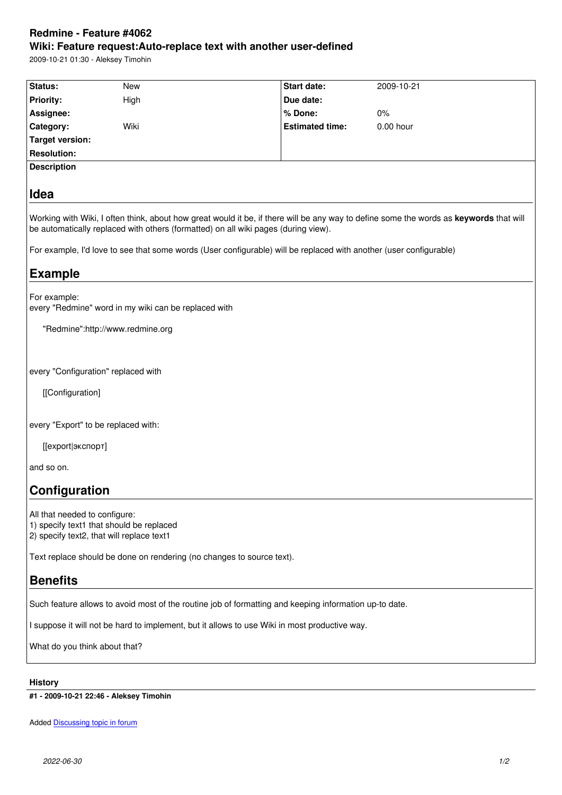### **Wiki: Feature request:Auto-replace text with another user-defined**

2009-10-21 01:30 - Aleksey Timohin

| Status:                             | New                                                                                   | Start date:                                                                                                        | 2009-10-21                                                                                                                             |
|-------------------------------------|---------------------------------------------------------------------------------------|--------------------------------------------------------------------------------------------------------------------|----------------------------------------------------------------------------------------------------------------------------------------|
| Priority:                           | High                                                                                  | Due date:                                                                                                          |                                                                                                                                        |
| Assignee:                           |                                                                                       | % Done:                                                                                                            | 0%                                                                                                                                     |
| Category:                           | Wiki                                                                                  | <b>Estimated time:</b>                                                                                             | 0.00 hour                                                                                                                              |
| <b>Target version:</b>              |                                                                                       |                                                                                                                    |                                                                                                                                        |
| <b>Resolution:</b>                  |                                                                                       |                                                                                                                    |                                                                                                                                        |
| <b>Description</b>                  |                                                                                       |                                                                                                                    |                                                                                                                                        |
| Idea                                |                                                                                       |                                                                                                                    |                                                                                                                                        |
|                                     |                                                                                       | be automatically replaced with others (formatted) on all wiki pages (during view).                                 | Working with Wiki, I often think, about how great would it be, if there will be any way to define some the words as keywords that will |
|                                     |                                                                                       | For example, I'd love to see that some words (User configurable) will be replaced with another (user configurable) |                                                                                                                                        |
| <b>Example</b>                      |                                                                                       |                                                                                                                    |                                                                                                                                        |
| For example:                        | every "Redmine" word in my wiki can be replaced with                                  |                                                                                                                    |                                                                                                                                        |
|                                     | "Redmine":http://www.redmine.org                                                      |                                                                                                                    |                                                                                                                                        |
|                                     |                                                                                       |                                                                                                                    |                                                                                                                                        |
| every "Configuration" replaced with |                                                                                       |                                                                                                                    |                                                                                                                                        |
| [[Configuration]                    |                                                                                       |                                                                                                                    |                                                                                                                                        |
| every "Export" to be replaced with: |                                                                                       |                                                                                                                    |                                                                                                                                        |
| [[export экспорт]                   |                                                                                       |                                                                                                                    |                                                                                                                                        |
| and so on.                          |                                                                                       |                                                                                                                    |                                                                                                                                        |
| Configuration                       |                                                                                       |                                                                                                                    |                                                                                                                                        |
| All that needed to configure:       | 1) specify text1 that should be replaced<br>2) specify text2, that will replace text1 |                                                                                                                    |                                                                                                                                        |
|                                     | Text replace should be done on rendering (no changes to source text).                 |                                                                                                                    |                                                                                                                                        |
| <b>Benefits</b>                     |                                                                                       |                                                                                                                    |                                                                                                                                        |
|                                     |                                                                                       | Such feature allows to avoid most of the routine job of formatting and keeping information up-to date.             |                                                                                                                                        |
|                                     |                                                                                       | I suppose it will not be hard to implement, but it allows to use Wiki in most productive way.                      |                                                                                                                                        |
| What do you think about that?       |                                                                                       |                                                                                                                    |                                                                                                                                        |
| <b>History</b>                      |                                                                                       |                                                                                                                    |                                                                                                                                        |

**#1 - 2009-10-21 22:46 - Aleksey Timohin**

Added **Discussing topic in forum**